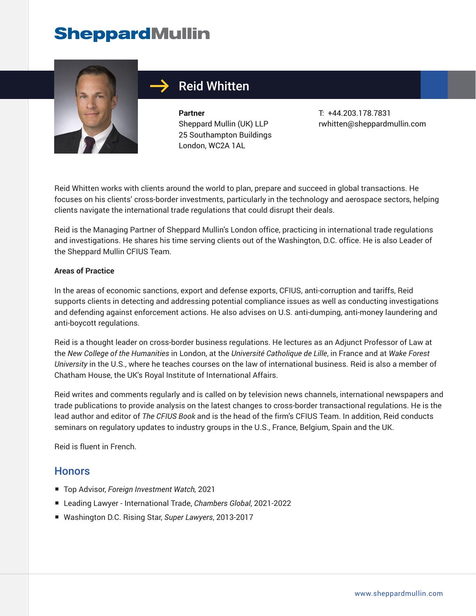

## Reid Whitten

**Partner** Sheppard Mullin (UK) LLP 25 Southampton Buildings London, WC2A 1AL

T: +44.203.178.7831 rwhitten@sheppardmullin.com

Reid Whitten works with clients around the world to plan, prepare and succeed in global transactions. He focuses on his clients' cross-border investments, particularly in the technology and aerospace sectors, helping clients navigate the international trade regulations that could disrupt their deals.

Reid is the Managing Partner of Sheppard Mullin's London office, practicing in international trade regulations and investigations. He shares his time serving clients out of the Washington, D.C. office. He is also Leader of the Sheppard Mullin CFIUS Team.

#### **Areas of Practice**

In the areas of economic sanctions, export and defense exports, CFIUS, anti-corruption and tariffs, Reid supports clients in detecting and addressing potential compliance issues as well as conducting investigations and defending against enforcement actions. He also advises on U.S. anti-dumping, anti-money laundering and anti-boycott regulations.

Reid is a thought leader on cross-border business regulations. He lectures as an Adjunct Professor of Law at the *New College of the Humanities* in London, at the *Université Catholique de Lille*, in France and at *Wake Forest University* in the U.S., where he teaches courses on the law of international business. Reid is also a member of Chatham House, the UK's Royal Institute of International Affairs.

Reid writes and comments regularly and is called on by television news channels, international newspapers and trade publications to provide analysis on the latest changes to cross-border transactional regulations. He is the lead author and editor of *The CFIUS Book* and is the head of the firm's CFIUS Team. In addition, Reid conducts seminars on regulatory updates to industry groups in the U.S., France, Belgium, Spain and the UK.

Reid is fluent in French.

### **Honors**

- Top Advisor, *Foreign Investment Watch,* 2021
- Leading Lawyer International Trade, *Chambers Global*, 2021-2022
- Washington D.C. Rising Star, *Super Lawyers*, 2013-2017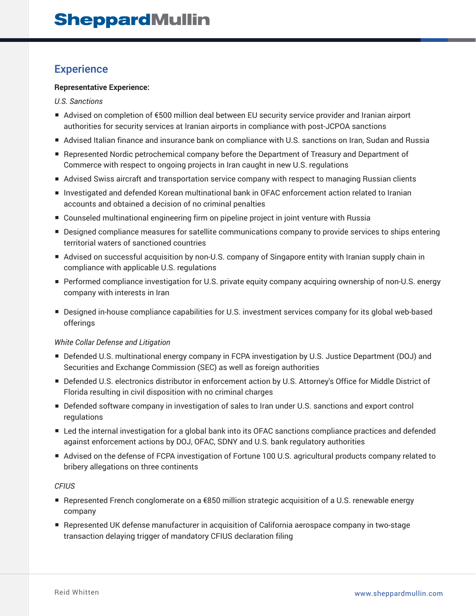### **Experience**

#### **Representative Experience:**

*U.S. Sanctions*

- Advised on completion of €500 million deal between EU security service provider and Iranian airport authorities for security services at Iranian airports in compliance with post-JCPOA sanctions
- Advised Italian finance and insurance bank on compliance with U.S. sanctions on Iran, Sudan and Russia
- Represented Nordic petrochemical company before the Department of Treasury and Department of Commerce with respect to ongoing projects in Iran caught in new U.S. regulations
- Advised Swiss aircraft and transportation service company with respect to managing Russian clients
- Investigated and defended Korean multinational bank in OFAC enforcement action related to Iranian accounts and obtained a decision of no criminal penalties
- Counseled multinational engineering firm on pipeline project in joint venture with Russia
- Designed compliance measures for satellite communications company to provide services to ships entering territorial waters of sanctioned countries
- Advised on successful acquisition by non-U.S. company of Singapore entity with Iranian supply chain in compliance with applicable U.S. regulations
- Performed compliance investigation for U.S. private equity company acquiring ownership of non-U.S. energy company with interests in Iran
- Designed in-house compliance capabilities for U.S. investment services company for its global web-based offerings

#### *White Collar Defense and Litigation*

- Defended U.S. multinational energy company in FCPA investigation by U.S. Justice Department (DOJ) and Securities and Exchange Commission (SEC) as well as foreign authorities
- Defended U.S. electronics distributor in enforcement action by U.S. Attorney's Office for Middle District of Florida resulting in civil disposition with no criminal charges
- Defended software company in investigation of sales to Iran under U.S. sanctions and export control regulations
- Led the internal investigation for a global bank into its OFAC sanctions compliance practices and defended against enforcement actions by DOJ, OFAC, SDNY and U.S. bank regulatory authorities
- Advised on the defense of FCPA investigation of Fortune 100 U.S. agricultural products company related to bribery allegations on three continents

#### *CFIUS*

- Represented French conglomerate on a €850 million strategic acquisition of a U.S. renewable energy company
- Represented UK defense manufacturer in acquisition of California aerospace company in two-stage transaction delaying trigger of mandatory CFIUS declaration filing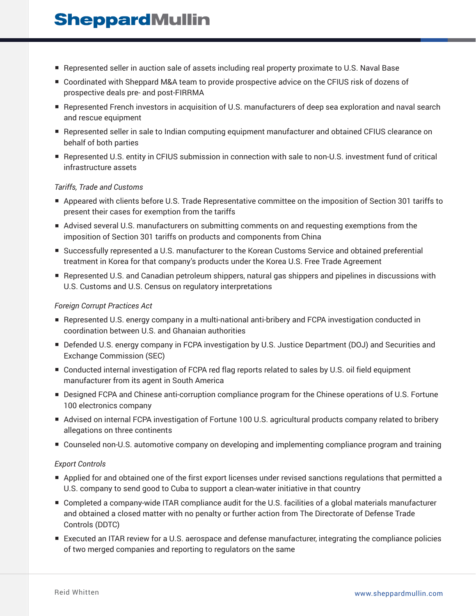- Represented seller in auction sale of assets including real property proximate to U.S. Naval Base
- Coordinated with Sheppard M&A team to provide prospective advice on the CFIUS risk of dozens of prospective deals pre- and post-FIRRMA
- Represented French investors in acquisition of U.S. manufacturers of deep sea exploration and naval search and rescue equipment
- Represented seller in sale to Indian computing equipment manufacturer and obtained CFIUS clearance on behalf of both parties
- Represented U.S. entity in CFIUS submission in connection with sale to non-U.S. investment fund of critical infrastructure assets

#### *Tariffs, Trade and Customs*

- Appeared with clients before U.S. Trade Representative committee on the imposition of Section 301 tariffs to present their cases for exemption from the tariffs
- Advised several U.S. manufacturers on submitting comments on and requesting exemptions from the imposition of Section 301 tariffs on products and components from China
- Successfully represented a U.S. manufacturer to the Korean Customs Service and obtained preferential treatment in Korea for that company's products under the Korea U.S. Free Trade Agreement
- Represented U.S. and Canadian petroleum shippers, natural gas shippers and pipelines in discussions with U.S. Customs and U.S. Census on regulatory interpretations

#### *Foreign Corrupt Practices Act*

- Represented U.S. energy company in a multi-national anti-bribery and FCPA investigation conducted in coordination between U.S. and Ghanaian authorities
- Defended U.S. energy company in FCPA investigation by U.S. Justice Department (DOJ) and Securities and Exchange Commission (SEC)
- Conducted internal investigation of FCPA red flag reports related to sales by U.S. oil field equipment manufacturer from its agent in South America
- Designed FCPA and Chinese anti-corruption compliance program for the Chinese operations of U.S. Fortune 100 electronics company
- Advised on internal FCPA investigation of Fortune 100 U.S. agricultural products company related to bribery allegations on three continents
- Counseled non-U.S. automotive company on developing and implementing compliance program and training

#### *Export Controls*

- Applied for and obtained one of the first export licenses under revised sanctions regulations that permitted a U.S. company to send good to Cuba to support a clean-water initiative in that country
- Completed a company-wide ITAR compliance audit for the U.S. facilities of a global materials manufacturer and obtained a closed matter with no penalty or further action from The Directorate of Defense Trade Controls (DDTC)
- Executed an ITAR review for a U.S. aerospace and defense manufacturer, integrating the compliance policies of two merged companies and reporting to regulators on the same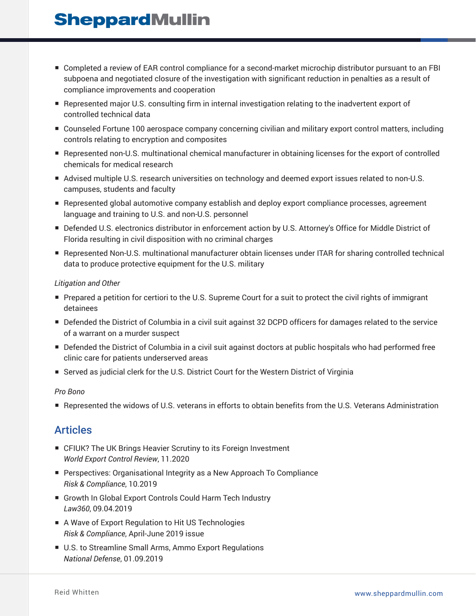- Completed a review of EAR control compliance for a second-market microchip distributor pursuant to an FBI subpoena and negotiated closure of the investigation with significant reduction in penalties as a result of compliance improvements and cooperation
- Represented major U.S. consulting firm in internal investigation relating to the inadvertent export of controlled technical data
- Counseled Fortune 100 aerospace company concerning civilian and military export control matters, including controls relating to encryption and composites
- Represented non-U.S. multinational chemical manufacturer in obtaining licenses for the export of controlled chemicals for medical research
- Advised multiple U.S. research universities on technology and deemed export issues related to non-U.S. campuses, students and faculty
- Represented global automotive company establish and deploy export compliance processes, agreement language and training to U.S. and non-U.S. personnel
- Defended U.S. electronics distributor in enforcement action by U.S. Attorney's Office for Middle District of Florida resulting in civil disposition with no criminal charges
- Represented Non-U.S. multinational manufacturer obtain licenses under ITAR for sharing controlled technical data to produce protective equipment for the U.S. military

#### *Litigation and Other*

- Prepared a petition for certiori to the U.S. Supreme Court for a suit to protect the civil rights of immigrant detainees
- Defended the District of Columbia in a civil suit against 32 DCPD officers for damages related to the service of a warrant on a murder suspect
- Defended the District of Columbia in a civil suit against doctors at public hospitals who had performed free clinic care for patients underserved areas
- Served as judicial clerk for the U.S. District Court for the Western District of Virginia

#### *Pro Bono*

■ Represented the widows of U.S. veterans in efforts to obtain benefits from the U.S. Veterans Administration

### Articles

- CFIUK? The UK Brings Heavier Scrutiny to its Foreign Investment *World Export Control Review*, 11.2020
- Perspectives: Organisational Integrity as a New Approach To Compliance *Risk & Compliance*, 10.2019
- Growth In Global Export Controls Could Harm Tech Industry *Law360*, 09.04.2019
- A Wave of Export Regulation to Hit US Technologies *Risk & Compliance*, April-June 2019 issue
- U.S. to Streamline Small Arms, Ammo Export Regulations *National Defense*, 01.09.2019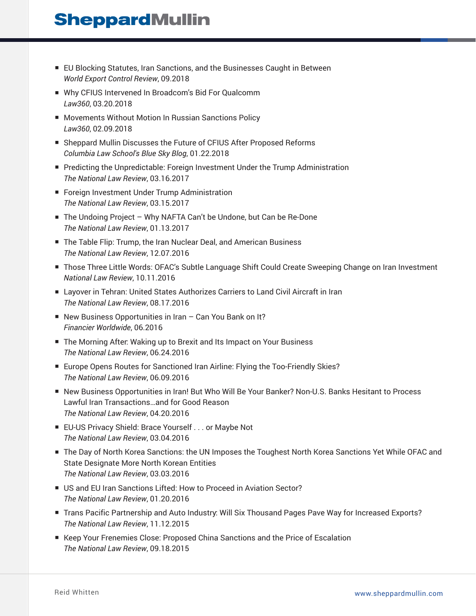- EU Blocking Statutes, Iran Sanctions, and the Businesses Caught in Between *World Export Control Review*, 09.2018
- Why CFIUS Intervened In Broadcom's Bid For Qualcomm *Law360*, 03.20.2018
- Movements Without Motion In Russian Sanctions Policy *Law360*, 02.09.2018
- Sheppard Mullin Discusses the Future of CFIUS After Proposed Reforms *Columbia Law School's Blue Sky Blog*, 01.22.2018
- Predicting the Unpredictable: Foreign Investment Under the Trump Administration *The National Law Review*, 03.16.2017
- Foreign Investment Under Trump Administration *The National Law Review*, 03.15.2017
- The Undoing Project Why NAFTA Can't be Undone, but Can be Re-Done *The National Law Review*, 01.13.2017
- The Table Flip: Trump, the Iran Nuclear Deal, and American Business *The National Law Review*, 12.07.2016
- Those Three Little Words: OFAC's Subtle Language Shift Could Create Sweeping Change on Iran Investment *National Law Review*, 10.11.2016
- Layover in Tehran: United States Authorizes Carriers to Land Civil Aircraft in Iran *The National Law Review*, 08.17.2016
- New Business Opportunities in Iran Can You Bank on It? *Financier Worldwide*, 06.2016
- The Morning After: Waking up to Brexit and Its Impact on Your Business *The National Law Review*, 06.24.2016
- Europe Opens Routes for Sanctioned Iran Airline: Flying the Too-Friendly Skies? *The National Law Review*, 06.09.2016
- New Business Opportunities in Iran! But Who Will Be Your Banker? Non-U.S. Banks Hesitant to Process Lawful Iran Transactions…and for Good Reason *The National Law Review*, 04.20.2016
- EU-US Privacy Shield: Brace Yourself . . . or Maybe Not *The National Law Review*, 03.04.2016
- The Day of North Korea Sanctions: the UN Imposes the Toughest North Korea Sanctions Yet While OFAC and State Designate More North Korean Entities *The National Law Review*, 03.03.2016
- US and EU Iran Sanctions Lifted: How to Proceed in Aviation Sector? *The National Law Review*, 01.20.2016
- Trans Pacific Partnership and Auto Industry: Will Six Thousand Pages Pave Way for Increased Exports? *The National Law Review*, 11.12.2015
- Keep Your Frenemies Close: Proposed China Sanctions and the Price of Escalation *The National Law Review*, 09.18.2015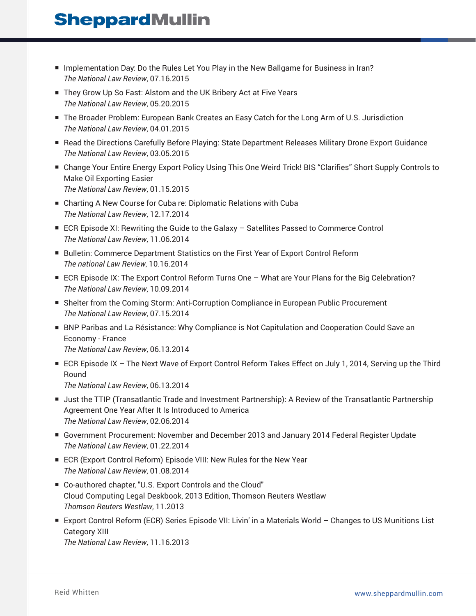- Implementation Day: Do the Rules Let You Play in the New Ballgame for Business in Iran? *The National Law Review*, 07.16.2015
- They Grow Up So Fast: Alstom and the UK Bribery Act at Five Years *The National Law Review*, 05.20.2015
- The Broader Problem: European Bank Creates an Easy Catch for the Long Arm of U.S. Jurisdiction *The National Law Review*, 04.01.2015
- Read the Directions Carefully Before Playing: State Department Releases Military Drone Export Guidance *The National Law Review*, 03.05.2015
- Change Your Entire Energy Export Policy Using This One Weird Trick! BIS "Clarifies" Short Supply Controls to Make Oil Exporting Easier *The National Law Review*, 01.15.2015
- Charting A New Course for Cuba re: Diplomatic Relations with Cuba *The National Law Review*, 12.17.2014
- ECR Episode XI: Rewriting the Guide to the Galaxy Satellites Passed to Commerce Control *The National Law Review*, 11.06.2014
- Bulletin: Commerce Department Statistics on the First Year of Export Control Reform *The national Law Review*, 10.16.2014
- ECR Episode IX: The Export Control Reform Turns One What are Your Plans for the Big Celebration? *The National Law Review*, 10.09.2014
- Shelter from the Coming Storm: Anti-Corruption Compliance in European Public Procurement *The National Law Review*, 07.15.2014
- BNP Paribas and La Résistance: Why Compliance is Not Capitulation and Cooperation Could Save an Economy - France *The National Law Review*, 06.13.2014
- ECR Episode IX The Next Wave of Export Control Reform Takes Effect on July 1, 2014, Serving up the Third Round *The National Law Review*, 06.13.2014
- Just the TTIP (Transatlantic Trade and Investment Partnership): A Review of the Transatlantic Partnership Agreement One Year After It Is Introduced to America *The National Law Review*, 02.06.2014
- Government Procurement: November and December 2013 and January 2014 Federal Register Update *The National Law Review*, 01.22.2014
- ECR (Export Control Reform) Episode VIII: New Rules for the New Year *The National Law Review*, 01.08.2014
- Co-authored chapter, "U.S. Export Controls and the Cloud" Cloud Computing Legal Deskbook, 2013 Edition, Thomson Reuters Westlaw *Thomson Reuters Westlaw*, 11.2013
- Export Control Reform (ECR) Series Episode VII: Livin' in a Materials World Changes to US Munitions List Category XIII *The National Law Review*, 11.16.2013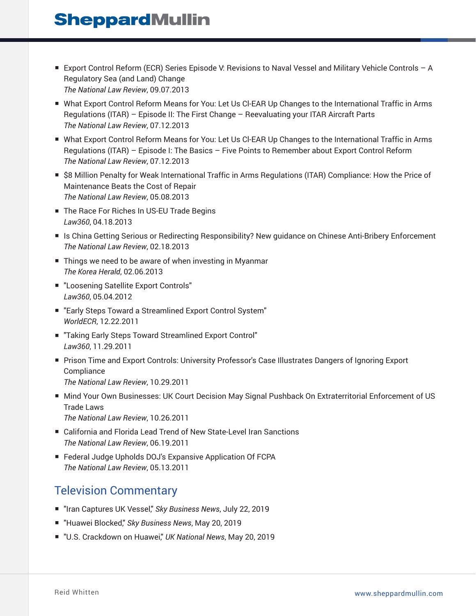- Export Control Reform (ECR) Series Episode V: Revisions to Naval Vessel and Military Vehicle Controls A Regulatory Sea (and Land) Change *The National Law Review*, 09.07.2013
- What Export Control Reform Means for You: Let Us Cl-EAR Up Changes to the International Traffic in Arms Regulations (ITAR) – Episode II: The First Change – Reevaluating your ITAR Aircraft Parts *The National Law Review*, 07.12.2013
- What Export Control Reform Means for You: Let Us CI-EAR Up Changes to the International Traffic in Arms Regulations (ITAR) – Episode I: The Basics – Five Points to Remember about Export Control Reform *The National Law Review*, 07.12.2013
- \$8 Million Penalty for Weak International Traffic in Arms Regulations (ITAR) Compliance: How the Price of Maintenance Beats the Cost of Repair *The National Law Review*, 05.08.2013
- The Race For Riches In US-EU Trade Begins *Law360*, 04.18.2013
- Is China Getting Serious or Redirecting Responsibility? New guidance on Chinese Anti-Bribery Enforcement *The National Law Review*, 02.18.2013
- Things we need to be aware of when investing in Myanmar *The Korea Herald*, 02.06.2013
- "Loosening Satellite Export Controls" *Law360*, 05.04.2012
- "Early Steps Toward a Streamlined Export Control System" *WorldECR*, 12.22.2011
- "Taking Early Steps Toward Streamlined Export Control" *Law360*, 11.29.2011
- Prison Time and Export Controls: University Professor's Case Illustrates Dangers of Ignoring Export **Compliance** *The National Law Review*, 10.29.2011
- Mind Your Own Businesses: UK Court Decision May Signal Pushback On Extraterritorial Enforcement of US Trade Laws *The National Law Review*, 10.26.2011
- California and Florida Lead Trend of New State-Level Iran Sanctions *The National Law Review*, 06.19.2011
- Federal Judge Upholds DOJ's Expansive Application Of FCPA *The National Law Review*, 05.13.2011

## Television Commentary

- "Iran Captures UK Vessel," *Sky Business News*, July 22, 2019
- "Huawei Blocked," *Sky Business News*, May 20, 2019
- "U.S. Crackdown on Huawei," UK National News, May 20, 2019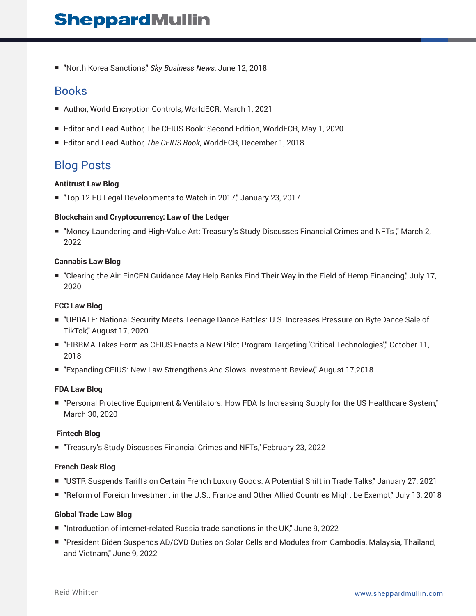■ "North Korea Sanctions," *Sky Business News*, June 12, 2018

### Books

- Author, World Encryption Controls, WorldECR, March 1, 2021
- Editor and Lead Author, The CFIUS Book: Second Edition, WorldECR, May 1, 2020
- Editor and Lead Author, *The CFIUS Book*, WorldECR, December 1, 2018

### Blog Posts

#### **Antitrust Law Blog**

■ "Top 12 EU Legal Developments to Watch in 2017," January 23, 2017

#### **Blockchain and Cryptocurrency: Law of the Ledger**

■ "Money Laundering and High-Value Art: Treasury's Study Discusses Financial Crimes and NFTs ," March 2, 2022

#### **Cannabis Law Blog**

■ "Clearing the Air: FinCEN Guidance May Help Banks Find Their Way in the Field of Hemp Financing," July 17, 2020

#### **FCC Law Blog**

- "UPDATE: National Security Meets Teenage Dance Battles: U.S. Increases Pressure on ByteDance Sale of TikTok," August 17, 2020
- "FIRRMA Takes Form as CFIUS Enacts a New Pilot Program Targeting 'Critical Technologies'," October 11, 2018
- "Expanding CFIUS: New Law Strengthens And Slows Investment Review," August 17,2018

#### **FDA Law Blog**

■ "Personal Protective Equipment & Ventilators: How FDA Is Increasing Supply for the US Healthcare System," March 30, 2020

#### **Fintech Blog**

■ "Treasury's Study Discusses Financial Crimes and NFTs," February 23, 2022

#### **French Desk Blog**

- "USTR Suspends Tariffs on Certain French Luxury Goods: A Potential Shift in Trade Talks," January 27, 2021
- "Reform of Foreign Investment in the U.S.: France and Other Allied Countries Might be Exempt," July 13, 2018

#### **Global Trade Law Blog**

- "Introduction of internet-related Russia trade sanctions in the UK," June 9, 2022
- "President Biden Suspends AD/CVD Duties on Solar Cells and Modules from Cambodia, Malaysia, Thailand, and Vietnam," June 9, 2022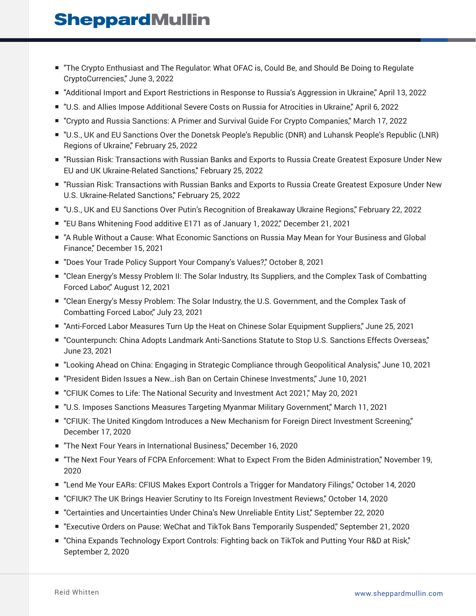- "The Crypto Enthusiast and The Regulator: What OFAC is, Could Be, and Should Be Doing to Regulate CryptoCurrencies," June 3, 2022
- "Additional Import and Export Restrictions in Response to Russia's Aggression in Ukraine," April 13, 2022
- "U.S. and Allies Impose Additional Severe Costs on Russia for Atrocities in Ukraine," April 6, 2022
- "Crypto and Russia Sanctions: A Primer and Survival Guide For Crypto Companies," March 17, 2022
- "U.S., UK and EU Sanctions Over the Donetsk People's Republic (DNR) and Luhansk People's Republic (LNR) Regions of Ukraine," February 25, 2022
- "Russian Risk: Transactions with Russian Banks and Exports to Russia Create Greatest Exposure Under New EU and UK Ukraine-Related Sanctions," February 25, 2022
- "Russian Risk: Transactions with Russian Banks and Exports to Russia Create Greatest Exposure Under New U.S. Ukraine-Related Sanctions," February 25, 2022
- "U.S., UK and EU Sanctions Over Putin's Recognition of Breakaway Ukraine Regions," February 22, 2022
- "EU Bans Whitening Food additive E171 as of January 1, 2022," December 21, 2021
- "A Ruble Without a Cause: What Economic Sanctions on Russia May Mean for Your Business and Global Finance," December 15, 2021
- "Does Your Trade Policy Support Your Company's Values?" October 8, 2021
- "Clean Energy's Messy Problem II: The Solar Industry, Its Suppliers, and the Complex Task of Combatting Forced Labor," August 12, 2021
- "Clean Energy's Messy Problem: The Solar Industry, the U.S. Government, and the Complex Task of Combatting Forced Labor," July 23, 2021
- "Anti-Forced Labor Measures Turn Up the Heat on Chinese Solar Equipment Suppliers," June 25, 2021
- "Counterpunch: China Adopts Landmark Anti-Sanctions Statute to Stop U.S. Sanctions Effects Overseas," June 23, 2021
- "Looking Ahead on China: Engaging in Strategic Compliance through Geopolitical Analysis," June 10, 2021
- "President Biden Issues a New…ish Ban on Certain Chinese Investments," June 10, 2021
- "CFIUK Comes to Life: The National Security and Investment Act 2021," May 20, 2021
- "U.S. Imposes Sanctions Measures Targeting Myanmar Military Government," March 11, 2021
- "CFIUK: The United Kingdom Introduces a New Mechanism for Foreign Direct Investment Screening," December 17, 2020
- "The Next Four Years in International Business," December 16, 2020
- "The Next Four Years of FCPA Enforcement: What to Expect From the Biden Administration," November 19, 2020
- "Lend Me Your EARs: CFIUS Makes Export Controls a Trigger for Mandatory Filings," October 14, 2020
- "CFIUK? The UK Brings Heavier Scrutiny to Its Foreign Investment Reviews," October 14, 2020
- "Certainties and Uncertainties Under China's New Unreliable Entity List," September 22, 2020
- "Executive Orders on Pause: WeChat and TikTok Bans Temporarily Suspended," September 21, 2020
- "China Expands Technology Export Controls: Fighting back on TikTok and Putting Your R&D at Risk," September 2, 2020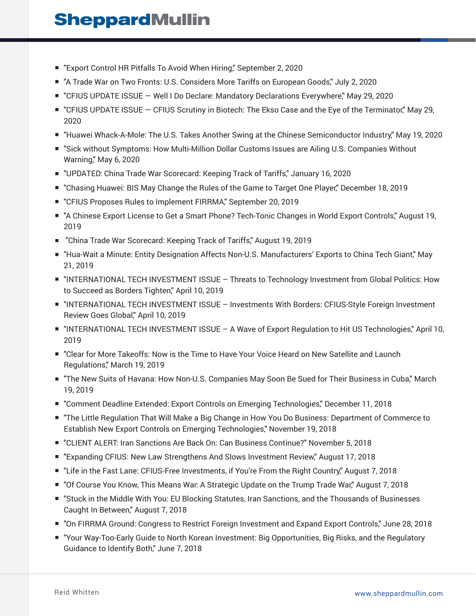- "Export Control HR Pitfalls To Avoid When Hiring," September 2, 2020
- "A Trade War on Two Fronts: U.S. Considers More Tariffs on European Goods," July 2, 2020
- "CFIUS UPDATE ISSUE Well I Do Declare: Mandatory Declarations Everywhere," May 29, 2020
- "CFIUS UPDATE ISSUE CFIUS Scrutiny in Biotech: The Ekso Case and the Eye of the Terminator," May 29, 2020
- "Huawei Whack-A-Mole: The U.S. Takes Another Swing at the Chinese Semiconductor Industry," May 19, 2020
- "Sick without Symptoms: How Multi-Million Dollar Customs Issues are Ailing U.S. Companies Without Warning," May 6, 2020
- "UPDATED: China Trade War Scorecard: Keeping Track of Tariffs," January 16, 2020
- "Chasing Huawei: BIS May Change the Rules of the Game to Target One Player," December 18, 2019
- "CFIUS Proposes Rules to Implement FIRRMA," September 20, 2019
- "A Chinese Export License to Get a Smart Phone? Tech-Tonic Changes in World Export Controls," August 19, 2019
- "China Trade War Scorecard: Keeping Track of Tariffs," August 19, 2019
- "Hua-Wait a Minute: Entity Designation Affects Non-U.S. Manufacturers' Exports to China Tech Giant," May 21, 2019
- "INTERNATIONAL TECH INVESTMENT ISSUE Threats to Technology Investment from Global Politics: How to Succeed as Borders Tighten," April 10, 2019
- "INTERNATIONAL TECH INVESTMENT ISSUE Investments With Borders: CFIUS-Style Foreign Investment Review Goes Global," April 10, 2019
- "INTERNATIONAL TECH INVESTMENT ISSUE A Wave of Export Regulation to Hit US Technologies," April 10, 2019
- "Clear for More Takeoffs: Now is the Time to Have Your Voice Heard on New Satellite and Launch Regulations," March 19, 2019
- "The New Suits of Havana: How Non-U.S. Companies May Soon Be Sued for Their Business in Cuba," March 19, 2019
- "Comment Deadline Extended: Export Controls on Emerging Technologies," December 11, 2018
- "The Little Regulation That Will Make a Big Change in How You Do Business: Department of Commerce to Establish New Export Controls on Emerging Technologies," November 19, 2018
- "CLIENT ALERT: Iran Sanctions Are Back On: Can Business Continue?" November 5, 2018
- "Expanding CFIUS: New Law Strengthens And Slows Investment Review," August 17, 2018
- "Life in the Fast Lane: CFIUS-Free Investments, if You're From the Right Country," August 7, 2018
- "Of Course You Know, This Means War: A Strategic Update on the Trump Trade War," August 7, 2018
- "Stuck in the Middle With You: EU Blocking Statutes, Iran Sanctions, and the Thousands of Businesses Caught In Between," August 7, 2018
- "On FIRRMA Ground: Congress to Restrict Foreign Investment and Expand Export Controls," June 28, 2018
- "Your Way-Too-Early Guide to North Korean Investment: Big Opportunities, Big Risks, and the Regulatory Guidance to Identify Both," June 7, 2018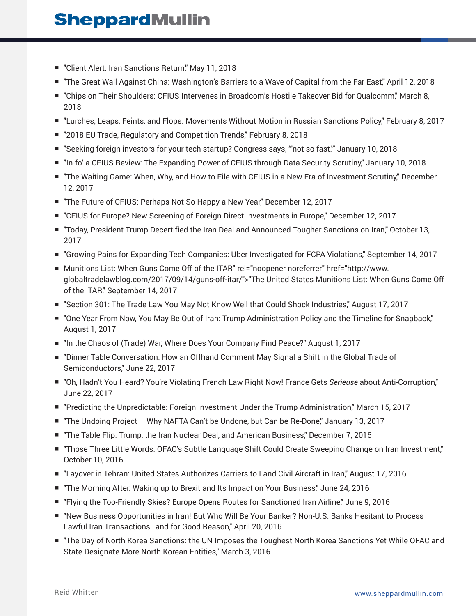- "Client Alert: Iran Sanctions Return," May 11, 2018
- "The Great Wall Against China: Washington's Barriers to a Wave of Capital from the Far East," April 12, 2018
- "Chips on Their Shoulders: CFIUS Intervenes in Broadcom's Hostile Takeover Bid for Qualcomm," March 8, 2018
- "Lurches, Leaps, Feints, and Flops: Movements Without Motion in Russian Sanctions Policy," February 8, 2017
- "2018 EU Trade, Regulatory and Competition Trends," February 8, 2018
- "Seeking foreign investors for your tech startup? Congress says, "'not so fast."' January 10, 2018
- "In-fo' a CFIUS Review: The Expanding Power of CFIUS through Data Security Scrutiny," January 10, 2018
- "The Waiting Game: When, Why, and How to File with CFIUS in a New Era of Investment Scrutiny," December 12, 2017
- "The Future of CFIUS: Perhaps Not So Happy a New Year," December 12, 2017
- "CFIUS for Europe? New Screening of Foreign Direct Investments in Europe," December 12, 2017
- "Today, President Trump Decertified the Iran Deal and Announced Tougher Sanctions on Iran," October 13, 2017
- "Growing Pains for Expanding Tech Companies: Uber Investigated for FCPA Violations," September 14, 2017
- Munitions List: When Guns Come Off of the ITAR" rel="noopener noreferrer" href="http://www. globaltradelawblog.com/2017/09/14/guns-off-itar/">"The United States Munitions List: When Guns Come Off of the ITAR," September 14, 2017
- "Section 301: The Trade Law You May Not Know Well that Could Shock Industries," August 17, 2017
- "One Year From Now, You May Be Out of Iran: Trump Administration Policy and the Timeline for Snapback," August 1, 2017
- "In the Chaos of (Trade) War, Where Does Your Company Find Peace?" August 1, 2017
- "Dinner Table Conversation: How an Offhand Comment May Signal a Shift in the Global Trade of Semiconductors," June 22, 2017
- "Oh, Hadn't You Heard? You're Violating French Law Right Now! France Gets *Serieuse* about Anti-Corruption," June 22, 2017
- "Predicting the Unpredictable: Foreign Investment Under the Trump Administration," March 15, 2017
- "The Undoing Project Why NAFTA Can't be Undone, but Can be Re-Done," January 13, 2017
- "The Table Flip: Trump, the Iran Nuclear Deal, and American Business," December 7, 2016
- "Those Three Little Words: OFAC's Subtle Language Shift Could Create Sweeping Change on Iran Investment," October 10, 2016
- "Layover in Tehran: United States Authorizes Carriers to Land Civil Aircraft in Iran," August 17, 2016
- "The Morning After: Waking up to Brexit and Its Impact on Your Business," June 24, 2016
- "Flying the Too-Friendly Skies? Europe Opens Routes for Sanctioned Iran Airline," June 9, 2016
- "New Business Opportunities in Iran! But Who Will Be Your Banker? Non-U.S. Banks Hesitant to Process Lawful Iran Transactions…and for Good Reason," April 20, 2016
- "The Day of North Korea Sanctions: the UN Imposes the Toughest North Korea Sanctions Yet While OFAC and State Designate More North Korean Entities," March 3, 2016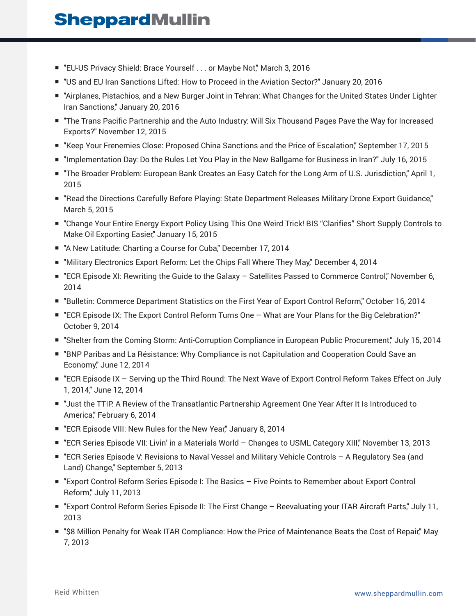- "EU-US Privacy Shield: Brace Yourself . . . or Maybe Not," March 3, 2016
- "US and EU Iran Sanctions Lifted: How to Proceed in the Aviation Sector?" January 20, 2016
- "Airplanes, Pistachios, and a New Burger Joint in Tehran: What Changes for the United States Under Lighter Iran Sanctions," January 20, 2016
- "The Trans Pacific Partnership and the Auto Industry: Will Six Thousand Pages Pave the Way for Increased Exports?" November 12, 2015
- "Keep Your Frenemies Close: Proposed China Sanctions and the Price of Escalation," September 17, 2015
- "Implementation Day: Do the Rules Let You Play in the New Ballgame for Business in Iran?" July 16, 2015
- "The Broader Problem: European Bank Creates an Easy Catch for the Long Arm of U.S. Jurisdiction," April 1, 2015
- "Read the Directions Carefully Before Playing: State Department Releases Military Drone Export Guidance," March 5, 2015
- "Change Your Entire Energy Export Policy Using This One Weird Trick! BIS "Clarifies" Short Supply Controls to Make Oil Exporting Easier," January 15, 2015
- "A New Latitude: Charting a Course for Cuba," December 17, 2014
- "Military Electronics Export Reform: Let the Chips Fall Where They May," December 4, 2014
- "ECR Episode XI: Rewriting the Guide to the Galaxy Satellites Passed to Commerce Control," November 6, 2014
- "Bulletin: Commerce Department Statistics on the First Year of Export Control Reform," October 16, 2014
- "ECR Episode IX: The Export Control Reform Turns One What are Your Plans for the Big Celebration?" October 9, 2014
- "Shelter from the Coming Storm: Anti-Corruption Compliance in European Public Procurement," July 15, 2014
- "BNP Paribas and La Résistance: Why Compliance is not Capitulation and Cooperation Could Save an Economy," June 12, 2014
- "ECR Episode IX Serving up the Third Round: The Next Wave of Export Control Reform Takes Effect on July 1, 2014," June 12, 2014
- "Just the TTIP: A Review of the Transatlantic Partnership Agreement One Year After It Is Introduced to America," February 6, 2014
- "ECR Episode VIII: New Rules for the New Year," January 8, 2014
- "ECR Series Episode VII: Livin' in a Materials World Changes to USML Category XIII," November 13, 2013
- "ECR Series Episode V: Revisions to Naval Vessel and Military Vehicle Controls A Regulatory Sea (and Land) Change," September 5, 2013
- "Export Control Reform Series Episode I: The Basics Five Points to Remember about Export Control Reform," July 11, 2013
- "Export Control Reform Series Episode II: The First Change Reevaluating your ITAR Aircraft Parts," July 11, 2013
- "\$8 Million Penalty for Weak ITAR Compliance: How the Price of Maintenance Beats the Cost of Repair," May 7, 2013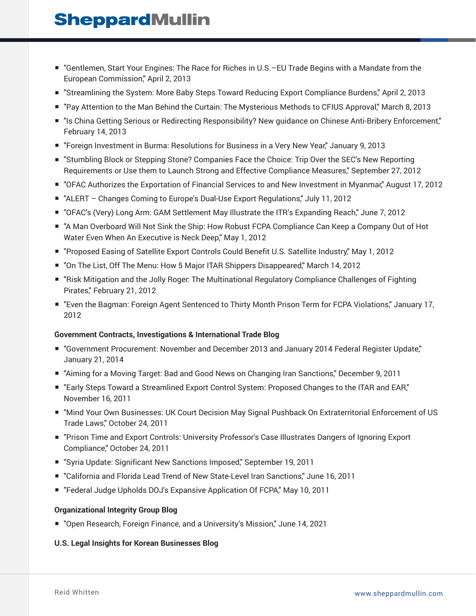- "Gentlemen, Start Your Engines: The Race for Riches in U.S.–EU Trade Begins with a Mandate from the European Commission," April 2, 2013
- "Streamlining the System: More Baby Steps Toward Reducing Export Compliance Burdens," April 2, 2013
- "Pay Attention to the Man Behind the Curtain: The Mysterious Methods to CFIUS Approval," March 8, 2013
- "Is China Getting Serious or Redirecting Responsibility? New quidance on Chinese Anti-Bribery Enforcement," February 14, 2013
- "Foreign Investment in Burma: Resolutions for Business in a Very New Year," January 9, 2013
- "Stumbling Block or Stepping Stone? Companies Face the Choice: Trip Over the SEC's New Reporting Requirements or Use them to Launch Strong and Effective Compliance Measures," September 27, 2012
- "OFAC Authorizes the Exportation of Financial Services to and New Investment in Myanmar," August 17, 2012
- "ALERT Changes Coming to Europe's Dual-Use Export Regulations," July 11, 2012
- "OFAC's (Very) Long Arm: GAM Settlement May Illustrate the ITR's Expanding Reach," June 7, 2012
- "A Man Overboard Will Not Sink the Ship: How Robust FCPA Compliance Can Keep a Company Out of Hot Water Even When An Executive is Neck Deep," May 1, 2012
- "Proposed Easing of Satellite Export Controls Could Benefit U.S. Satellite Industry," May 1, 2012
- "On The List, Off The Menu: How 5 Major ITAR Shippers Disappeared," March 14, 2012
- "Risk Mitigation and the Jolly Roger: The Multinational Regulatory Compliance Challenges of Fighting Pirates," February 21, 2012
- "Even the Bagman: Foreign Agent Sentenced to Thirty Month Prison Term for FCPA Violations," January 17, 2012

#### **Government Contracts, Investigations & International Trade Blog**

- "Government Procurement: November and December 2013 and January 2014 Federal Register Update," January 21, 2014
- "Aiming for a Moving Target: Bad and Good News on Changing Iran Sanctions," December 9, 2011
- "Early Steps Toward a Streamlined Export Control System: Proposed Changes to the ITAR and EAR," November 16, 2011
- "Mind Your Own Businesses: UK Court Decision May Signal Pushback On Extraterritorial Enforcement of US Trade Laws," October 24, 2011
- "Prison Time and Export Controls: University Professor's Case Illustrates Dangers of Ignoring Export Compliance," October 24, 2011
- "Syria Update: Significant New Sanctions Imposed," September 19, 2011
- "California and Florida Lead Trend of New State-Level Iran Sanctions," June 16, 2011
- "Federal Judge Upholds DOJ's Expansive Application Of FCPA," May 10, 2011

#### **Organizational Integrity Group Blog**

■ "Open Research, Foreign Finance, and a University's Mission," June 14, 2021

#### **U.S. Legal Insights for Korean Businesses Blog**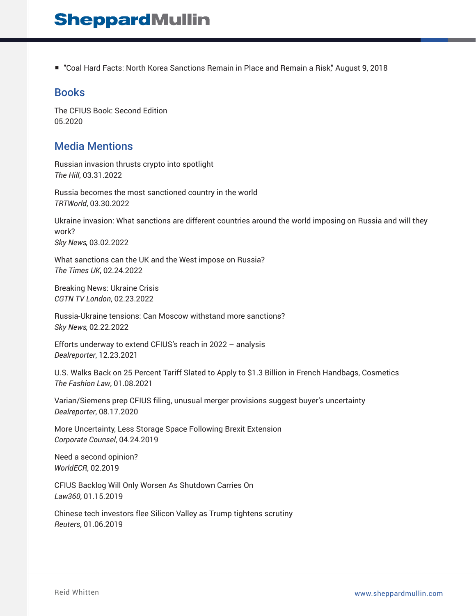■ "Coal Hard Facts: North Korea Sanctions Remain in Place and Remain a Risk," August 9, 2018

### **Books**

The CFIUS Book: Second Edition 05.2020

### Media Mentions

Russian invasion thrusts crypto into spotlight *The Hill*, 03.31.2022

Russia becomes the most sanctioned country in the world *TRTWorld*, 03.30.2022

Ukraine invasion: What sanctions are different countries around the world imposing on Russia and will they work? *Sky News*, 03.02.2022

What sanctions can the UK and the West impose on Russia? *The Times UK*, 02.24.2022

Breaking News: Ukraine Crisis *CGTN TV London*, 02.23.2022

Russia-Ukraine tensions: Can Moscow withstand more sanctions? *Sky News*, 02.22.2022

Efforts underway to extend CFIUS's reach in 2022 – analysis *Dealreporter*, 12.23.2021

U.S. Walks Back on 25 Percent Tariff Slated to Apply to \$1.3 Billion in French Handbags, Cosmetics *The Fashion Law*, 01.08.2021

Varian/Siemens prep CFIUS filing, unusual merger provisions suggest buyer's uncertainty *Dealreporter*, 08.17.2020

More Uncertainty, Less Storage Space Following Brexit Extension *Corporate Counsel*, 04.24.2019

Need a second opinion? *WorldECR*, 02.2019

CFIUS Backlog Will Only Worsen As Shutdown Carries On *Law360*, 01.15.2019

Chinese tech investors flee Silicon Valley as Trump tightens scrutiny *Reuters*, 01.06.2019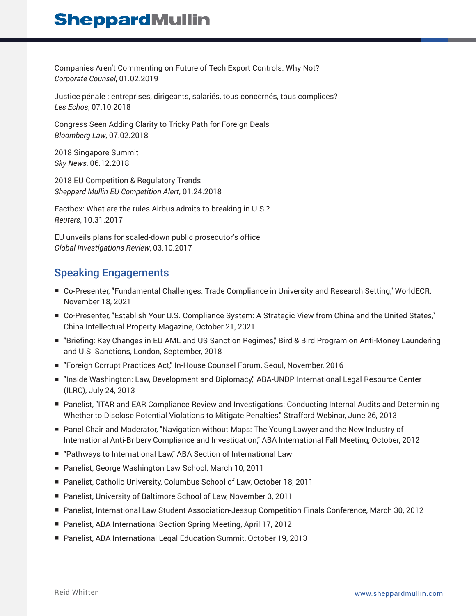Companies Aren't Commenting on Future of Tech Export Controls: Why Not? *Corporate Counsel*, 01.02.2019

Justice pénale : entreprises, dirigeants, salariés, tous concernés, tous complices? *Les Echos*, 07.10.2018

Congress Seen Adding Clarity to Tricky Path for Foreign Deals *Bloomberg Law*, 07.02.2018

2018 Singapore Summit *Sky News*, 06.12.2018

2018 EU Competition & Regulatory Trends *Sheppard Mullin EU Competition Alert*, 01.24.2018

Factbox: What are the rules Airbus admits to breaking in U.S.? *Reuters*, 10.31.2017

EU unveils plans for scaled-down public prosecutor's office *Global Investigations Review*, 03.10.2017

### Speaking Engagements

- Co-Presenter, "Fundamental Challenges: Trade Compliance in University and Research Setting," WorldECR, November 18, 2021
- Co-Presenter, "Establish Your U.S. Compliance System: A Strategic View from China and the United States," China Intellectual Property Magazine, October 21, 2021
- "Briefing: Key Changes in EU AML and US Sanction Regimes," Bird & Bird Program on Anti-Money Laundering and U.S. Sanctions, London, September, 2018
- "Foreign Corrupt Practices Act," In-House Counsel Forum, Seoul, November, 2016
- "Inside Washington: Law, Development and Diplomacy," ABA-UNDP International Legal Resource Center (ILRC), July 24, 2013
- Panelist, "ITAR and EAR Compliance Review and Investigations: Conducting Internal Audits and Determining Whether to Disclose Potential Violations to Mitigate Penalties," Strafford Webinar, June 26, 2013
- Panel Chair and Moderator, "Navigation without Maps: The Young Lawyer and the New Industry of International Anti-Bribery Compliance and Investigation," ABA International Fall Meeting, October, 2012
- "Pathways to International Law," ABA Section of International Law
- Panelist, George Washington Law School, March 10, 2011
- Panelist, Catholic University, Columbus School of Law, October 18, 2011
- Panelist, University of Baltimore School of Law, November 3, 2011
- Panelist, International Law Student Association-Jessup Competition Finals Conference, March 30, 2012
- Panelist, ABA International Section Spring Meeting, April 17, 2012
- Panelist, ABA International Legal Education Summit, October 19, 2013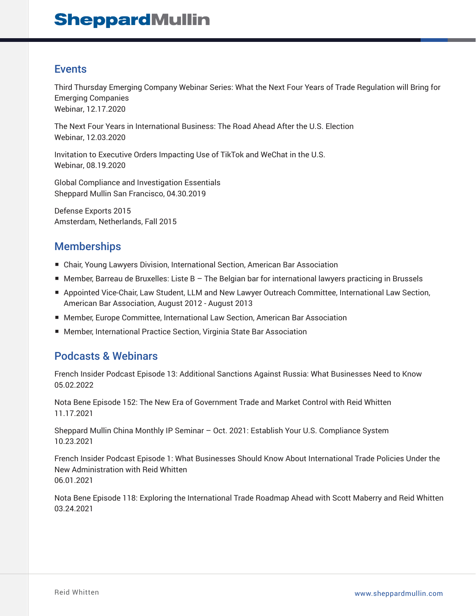### Events

Third Thursday Emerging Company Webinar Series: What the Next Four Years of Trade Regulation will Bring for Emerging Companies Webinar, 12.17.2020

The Next Four Years in International Business: The Road Ahead After the U.S. Election Webinar, 12.03.2020

Invitation to Executive Orders Impacting Use of TikTok and WeChat in the U.S. Webinar, 08.19.2020

Global Compliance and Investigation Essentials Sheppard Mullin San Francisco, 04.30.2019

Defense Exports 2015 Amsterdam, Netherlands, Fall 2015

### Memberships

- Chair, Young Lawyers Division, International Section, American Bar Association
- Member, Barreau de Bruxelles: Liste B The Belgian bar for international lawyers practicing in Brussels
- Appointed Vice-Chair, Law Student, LLM and New Lawyer Outreach Committee, International Law Section, American Bar Association, August 2012 - August 2013
- Member, Europe Committee, International Law Section, American Bar Association
- Member, International Practice Section, Virginia State Bar Association

### Podcasts & Webinars

French Insider Podcast Episode 13: Additional Sanctions Against Russia: What Businesses Need to Know 05.02.2022

Nota Bene Episode 152: The New Era of Government Trade and Market Control with Reid Whitten 11.17.2021

Sheppard Mullin China Monthly IP Seminar – Oct. 2021: Establish Your U.S. Compliance System 10.23.2021

French Insider Podcast Episode 1: What Businesses Should Know About International Trade Policies Under the New Administration with Reid Whitten 06.01.2021

Nota Bene Episode 118: Exploring the International Trade Roadmap Ahead with Scott Maberry and Reid Whitten 03.24.2021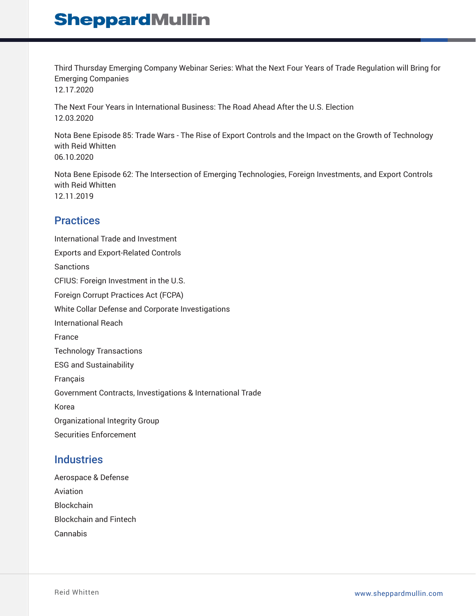Third Thursday Emerging Company Webinar Series: What the Next Four Years of Trade Regulation will Bring for Emerging Companies 12.17.2020

The Next Four Years in International Business: The Road Ahead After the U.S. Election 12.03.2020

Nota Bene Episode 85: Trade Wars - The Rise of Export Controls and the Impact on the Growth of Technology with Reid Whitten 06.10.2020

Nota Bene Episode 62: The Intersection of Emerging Technologies, Foreign Investments, and Export Controls with Reid Whitten 12.11.2019

### **Practices**

International Trade and Investment Exports and Export-Related Controls Sanctions CFIUS: Foreign Investment in the U.S. Foreign Corrupt Practices Act (FCPA) White Collar Defense and Corporate Investigations International Reach France Technology Transactions ESG and Sustainability Français Government Contracts, Investigations & International Trade Korea Organizational Integrity Group Securities Enforcement

### **Industries**

Aerospace & Defense Aviation **Blockchain** Blockchain and Fintech Cannabis